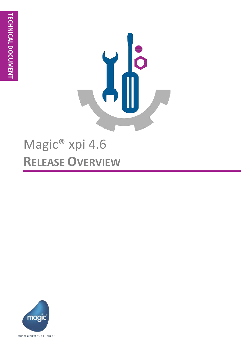

# Magic<sup>®</sup> xpi 4.6 **RELEASE OVERVIEW**

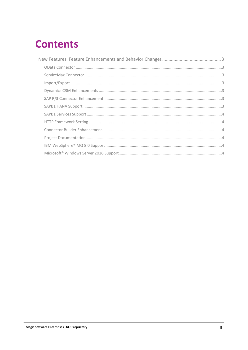## **Contents**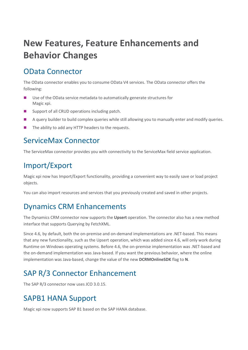## **New Features, Feature Enhancements and Behavior Changes**

## OData Connector

The OData connector enables you to consume OData V4 services. The OData connector offers the following:

- Use of the OData service metadata to automatically generate structures for Magic xpi.
- Support of all CRUD operations including patch.
- A query builder to build complex queries while still allowing you to manually enter and modify queries.
- $\blacksquare$  The ability to add any HTTP headers to the requests.

#### ServiceMax Connector

The ServiceMax connector provides you with connectivity to the ServiceMax field service application.

### Import/Export

Magic xpi now has Import/Export functionality, providing a convenient way to easily save or load project objects.

You can also import resources and services that you previously created and saved in other projects.

#### Dynamics CRM Enhancements

The Dynamics CRM connector now supports the **Upsert** operation. The connector also has a new method interface that supports Querying by FetchXML.

Since 4.6, by default, both the on-premise and on-demand implementations are .NET-based. This means that any new functionality, such as the Upsert operation, which was added since 4.6, will only work during Runtime on Windows operating systems. Before 4.6, the on-premise implementation was .NET-based and the on-demand implementation was Java-based. If you want the previous behavior, where the online implementation was Java-based, change the value of the new **DCRMOnlineSDK** flag to **N**.

### SAP R/3 Connector Enhancement

The SAP R/3 connector now uses JCO 3.0.15.

#### SAPB1 HANA Support

Magic xpi now supports SAP B1 based on the SAP HANA database.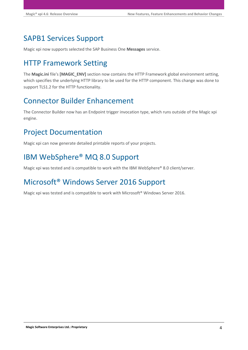## SAPB1 Services Support

Magic xpi now supports selected the SAP Business One **Messages** service.

## HTTP Framework Setting

The **Magic.ini** file's **[MAGIC\_ENV]** section now contains the HTTP Framework global environment setting, which specifies the underlying HTTP library to be used for the HTTP component. This change was done to support TLS1.2 for the HTTP functionality.

## Connector Builder Enhancement

The Connector Builder now has an Endpoint trigger invocation type, which runs outside of the Magic xpi engine.

## Project Documentation

Magic xpi can now generate detailed printable reports of your projects.

## IBM WebSphere® MQ 8.0 Support

Magic xpi was tested and is compatible to work with the IBM WebSphere® 8.0 client/server.

## Microsoft® Windows Server 2016 Support

Magic xpi was tested and is compatible to work with Microsoft® Windows Server 2016.